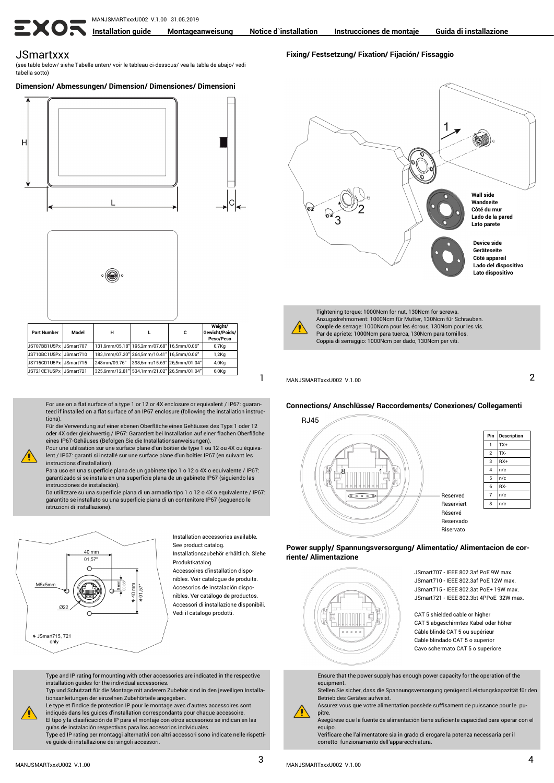(see table below/ siehe Tabelle unten/ voir le tableau ci-dessous/ vea la tabla de abajo/ vedi tabella sotto)

## **Dimension/ Abmessungen/ Dimension/ Dimensiones/ Dimensioni**







| <b>Part Number</b>     | Model | н                                           |                              | c | Weight/<br>Gewicht/Poids/<br>Peso/Peso |
|------------------------|-------|---------------------------------------------|------------------------------|---|----------------------------------------|
| US707BB1U5Px JSmart707 |       | 131.6mm/05.18" 195.2mm/07.68" 16.5mm/0.06"  |                              |   | $0.7$ Kg                               |
| US710BC1U5Px USmart710 |       | 183.1mm/07.20" 264.5mm/10.41" 16.5mm/0.06"  |                              |   | $1,2$ Kg                               |
| US715CD1U5Px USmart715 |       | 248mm/09.76"                                | 398.6mm/15.69" 26.5mm/01.04" |   | $4,0$ Kg                               |
| JS721CE1U5Px JSmart721 |       | 325.6mm/12.81" 534.1mm/21.02" 26.5mm/01.04" |                              |   | $6,0$ Kg                               |

For use on a flat surface of a type 1 or 12 or 4X enclosure or equivalent / IP67: guaranteed if installed on a flat surface of an IP67 enclosure (following the installation instructions).

Für die Verwendung auf einer ebenen Oberfläche eines Gehäuses des Typs 1 oder 12 oder 4X oder gleichwertig / IP67: Garantiert bei Installation auf einer flachen Oberfläche eines IP67-Gehäuses (Befolgen Sie die Installationsanweisungen).

Pour une utilisation sur une surface plane d'un boîtier de type 1 ou 12 ou 4X ou équivalent / IP67: garanti si installé sur une surface plane d'un boîtier IP67 (en suivant les instructions d'installation).

Para uso en una superficie plana de un gabinete tipo 1 o 12 o 4X o equivalente / IP67: garantizado si se instala en una superficie plana de un gabinete IP67 (siguiendo las instrucciones de instalación).

Da utilizzare su una superficie piana di un armadio tipo 1 o 12 o 4X o equivalente / IP67: garantito se installato su una superficie piana di un contenitore IP67 (seguendo le istruzioni di installazione).



Installation accessories available. See product catalog. Installationszubehör erhältlich. Siehe

Produktkatalog. Accessoires d'installation dispo-

nibles. Voir catalogue de produits. Accesorios de instalación disponibles. Ver catálogo de productos. Accessori di installazione disponibili. Vedi il catalogo prodotti.

Type and IP rating for mounting with other accessories are indicated in the respective installation guides for the individual accessories.

Typ und Schutzart für die Montage mit anderem Zubehör sind in den jeweiligen Installationsanleitungen der einzelnen Zubehörteile angegeben.

Le type et l'indice de protection IP pour le montage avec d'autres accessoires sont indiqués dans les guides d'installation correspondants pour chaque accessoire. El tipo y la clasificación de IP para el montaje con otros accesorios se indican en las

guías de instalación respectivas para los accesorios individuales. Type ed IP rating per montaggi alternativi con altri accessori sono indicate nelle rispetti-

ve guide di installazione dei singoli accessori.

**Fixing/ Festsetzung/ Fixation/ Fijación/ Fissaggio**





1

Tightening torque: 1000Ncm for nut, 130Ncm for screws. Anzugsdrehmoment: 1000Ncm für Mutter, 130Ncm für Schrauben. Couple de serrage: 1000Ncm pour les écrous, 130Ncm pour les vis. Par de apriete: 1000Ncm para tuerca, 130Ncm para tornillos. Coppia di serraggio: 1000Ncm per dado, 130Ncm per viti.

MANJSMARTxxxU002 V.1.00

## **Connections/ Anschlüsse/ Raccordements/ Conexiones/ Collegamenti**



| Pin                     | <b>Description</b> |
|-------------------------|--------------------|
| 1                       | TX+                |
| $\overline{\mathbf{c}}$ | TX-                |
| 3                       | RX+                |
| 4                       | n/c                |
| 5                       | n/c                |
| 6                       | RX-                |
| $\overline{7}$          | n/c                |
| 8                       | n/c                |
|                         |                    |
|                         |                    |
|                         |                    |

 $\mathcal{D}$ 

## **Power supply/ Spannungsversorgung/ Alimentatio/ Alimentacion de corriente/ Alimentazione**



JSmart707 - IEEE 802.3af PoE 9W max. JSmart710 - IEEE 802.3af PoE 12W max. JSmart715 - IEEE 802.3at PoE+ 19W max. JSmart721 - IEEE 802.3bt 4PPoE 32W max.

CAT 5 shielded cable or higher CAT 5 abgeschirmtes Kabel oder höher Câble blindé CAT 5 ou supérieur Cable blindado CAT 5 o superior Cavo schermato CAT 5 o superiore

Ensure that the power supply has enough power capacity for the operation of the equipment.

Stellen Sie sicher, dass die Spannungsversorgung genügend Leistungskapazität für den Betrieb des Gerätes aufweist.

Assurez vous que votre alimentation possède suffisament de puissance pour le pupitre.

Asegúrese que la fuente de alimentación tiene suficiente capacidad para operar con el equipo.

Verificare che l'alimentatore sia in grado di erogare la potenza necessaria per il corretto funzionamento dell'apparecchiatura.